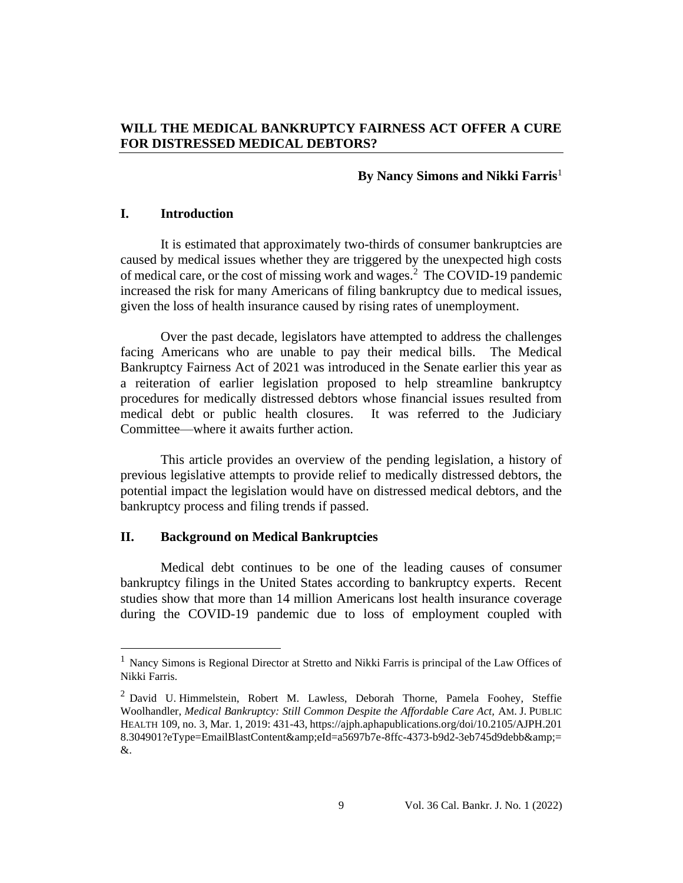# **WILL THE MEDICAL BANKRUPTCY FAIRNESS ACT OFFER A CURE FOR DISTRESSED MEDICAL DEBTORS?**

# **By Nancy Simons and Nikki Farris**<sup>1</sup>

### **I. Introduction**

It is estimated that approximately two-thirds of consumer bankruptcies are caused by medical issues whether they are triggered by the unexpected high costs of medical care, or the cost of missing work and wages.<sup>2</sup> The COVID-19 pandemic increased the risk for many Americans of filing bankruptcy due to medical issues, given the loss of health insurance caused by rising rates of unemployment.

Over the past decade, legislators have attempted to address the challenges facing Americans who are unable to pay their medical bills. The Medical Bankruptcy Fairness Act of 2021 was introduced in the Senate earlier this year as a reiteration of earlier legislation proposed to help streamline bankruptcy procedures for medically distressed debtors whose financial issues resulted from medical debt or public health closures. It was referred to the Judiciary Committee—where it awaits further action.

This article provides an overview of the pending legislation, a history of previous legislative attempts to provide relief to medically distressed debtors, the potential impact the legislation would have on distressed medical debtors, and the bankruptcy process and filing trends if passed.

#### **II. Background on Medical Bankruptcies**

Medical debt continues to be one of the leading causes of consumer bankruptcy filings in the United States according to bankruptcy experts. Recent studies show that more than 14 million Americans lost health insurance coverage during the COVID-19 pandemic due to loss of employment coupled with

<sup>1</sup>Nancy Simons is Regional Director at Stretto and Nikki Farris is principal of the Law Offices of Nikki Farris.

<sup>&</sup>lt;sup>2</sup> David U. Himmelstein, Robert M. Lawless, Deborah Thorne, Pamela Foohey, Steffie Woolhandler, *Medical Bankruptcy: Still Common Despite the Affordable Care Act,* AM. J. PUBLIC HEALTH 109, no. 3, Mar. 1, 2019: 431-43, https://ajph.aphapublications.org/doi/10.2105/AJPH.201 8.304901?eType=EmailBlastContent&eId=a5697b7e-8ffc-4373-b9d2-3eb745d9debb&= &.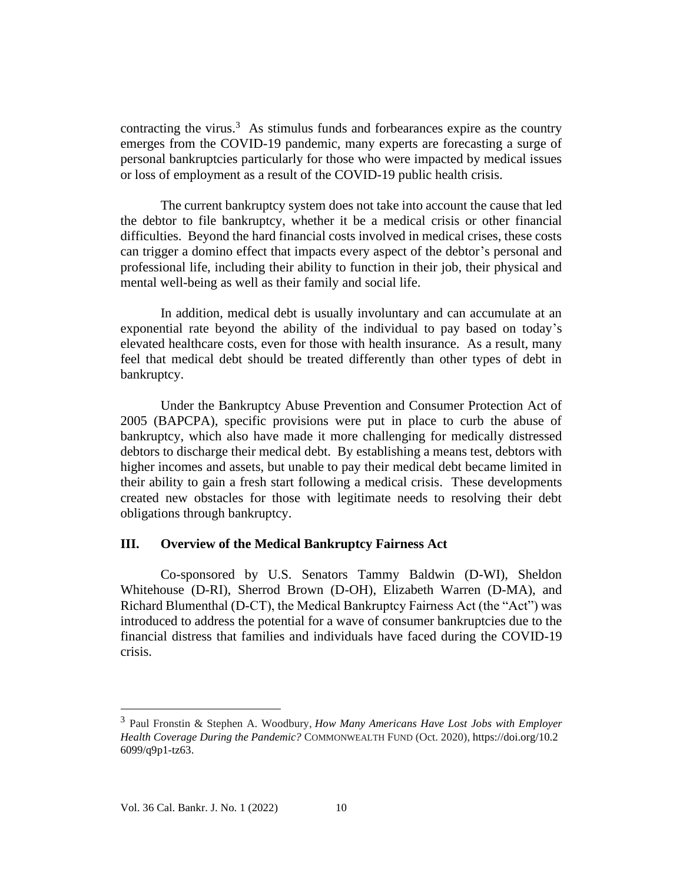contracting the virus. $3$  As stimulus funds and forbearances expire as the country emerges from the COVID-19 pandemic, many experts are forecasting a surge of personal bankruptcies particularly for those who were impacted by medical issues or loss of employment as a result of the COVID-19 public health crisis.

The current bankruptcy system does not take into account the cause that led the debtor to file bankruptcy, whether it be a medical crisis or other financial difficulties. Beyond the hard financial costs involved in medical crises, these costs can trigger a domino effect that impacts every aspect of the debtor's personal and professional life, including their ability to function in their job, their physical and mental well-being as well as their family and social life.

In addition, medical debt is usually involuntary and can accumulate at an exponential rate beyond the ability of the individual to pay based on today's elevated healthcare costs, even for those with health insurance. As a result, many feel that medical debt should be treated differently than other types of debt in bankruptcy.

Under the Bankruptcy Abuse Prevention and Consumer Protection Act of 2005 (BAPCPA), specific provisions were put in place to curb the abuse of bankruptcy, which also have made it more challenging for medically distressed debtors to discharge their medical debt. By establishing a means test, debtors with higher incomes and assets, but unable to pay their medical debt became limited in their ability to gain a fresh start following a medical crisis. These developments created new obstacles for those with legitimate needs to resolving their debt obligations through bankruptcy.

### **III. Overview of the Medical Bankruptcy Fairness Act**

Co-sponsored by U.S. Senators Tammy Baldwin (D-WI), Sheldon Whitehouse (D-RI), Sherrod Brown (D-OH), Elizabeth Warren (D-MA), and Richard Blumenthal (D-CT), the Medical Bankruptcy Fairness Act (the "Act") was introduced to address the potential for a wave of consumer bankruptcies due to the financial distress that families and individuals have faced during the COVID-19 crisis.

<sup>3</sup>Paul Fronstin & Stephen A. Woodbury, *How Many Americans Have Lost Jobs with Employer Health Coverage During the Pandemic?* COMMONWEALTH FUND (Oct. 2020), https://doi.org/10.2 6099/q9p1-tz63.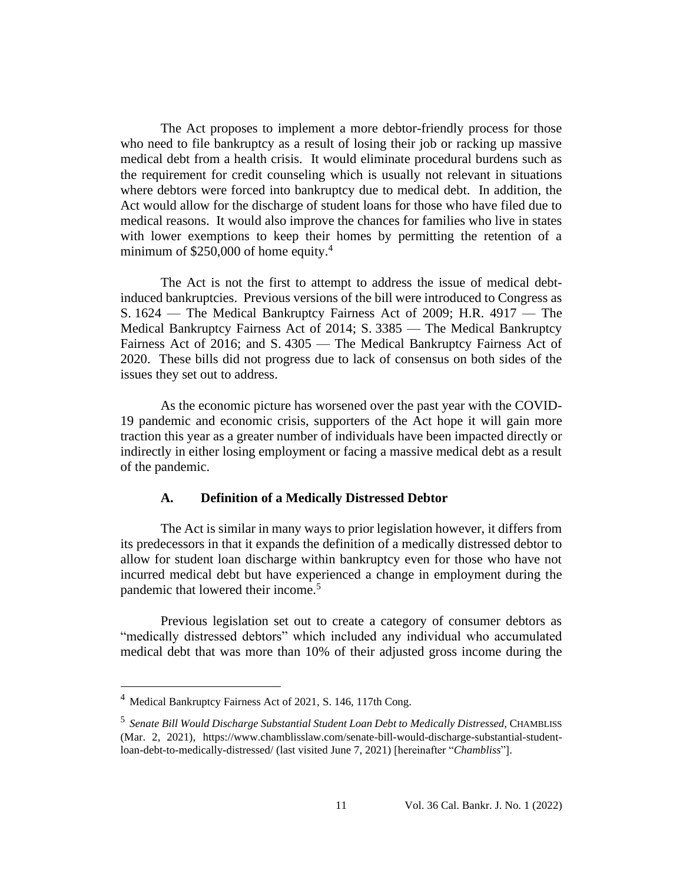The Act proposes to implement a more debtor-friendly process for those who need to file bankruptcy as a result of losing their job or racking up massive medical debt from a health crisis. It would eliminate procedural burdens such as the requirement for credit counseling which is usually not relevant in situations where debtors were forced into bankruptcy due to medical debt. In addition, the Act would allow for the discharge of student loans for those who have filed due to medical reasons. It would also improve the chances for families who live in states with lower exemptions to keep their homes by permitting the retention of a minimum of  $$250,000$  of home equity.<sup>4</sup>

The Act is not the first to attempt to address the issue of medical debtinduced bankruptcies.Previous versions of the bill were introduced to Congress as S. 1624 — The Medical Bankruptcy Fairness Act of 2009; H.R. 4917 — The Medical Bankruptcy Fairness Act of 2014; S. 3385 — The Medical Bankruptcy Fairness Act of 2016; and S. 4305 — The Medical Bankruptcy Fairness Act of 2020. These bills did not progress due to lack of consensus on both sides of the issues they set out to address.

As the economic picture has worsened over the past year with the COVID-19 pandemic and economic crisis, supporters of the Act hope it will gain more traction this year as a greater number of individuals have been impacted directly or indirectly in either losing employment or facing a massive medical debt as a result of the pandemic.

#### **A. Definition of a Medically Distressed Debtor**

The Act is similar in many ways to prior legislation however, it differs from its predecessors in that it expands the definition of a medically distressed debtor to allow for student loan discharge within bankruptcy even for those who have not incurred medical debt but have experienced a change in employment during the pandemic that lowered their income.<sup>5</sup>

Previous legislation set out to create a category of consumer debtors as "medically distressed debtors" which included any individual who accumulated medical debt that was more than 10% of their adjusted gross income during the

 $4$  Medical Bankruptcy Fairness Act of 2021, S. 146, 117th Cong.

<sup>5</sup>*Senate Bill Would Discharge Substantial Student Loan Debt to Medically Distressed*, CHAMBLISS (Mar. 2, 2021), https://www.chamblisslaw.com/senate-bill-would-discharge-substantial-studentloan-debt-to-medically-distressed/ (last visited June 7, 2021) [hereinafter "*Chambliss*"].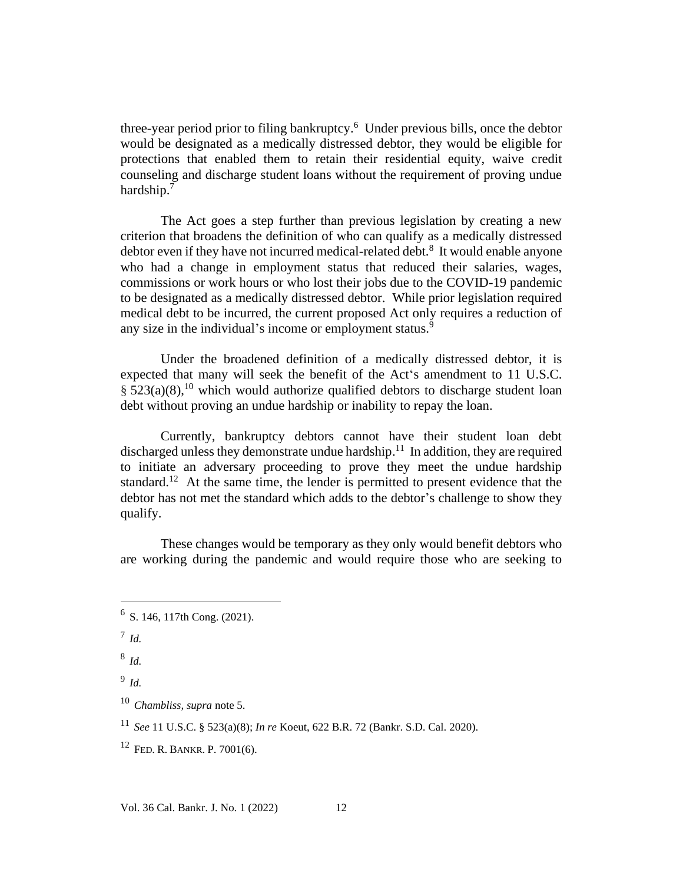three-year period prior to filing bankruptcy.<sup>6</sup> Under previous bills, once the debtor would be designated as a medically distressed debtor, they would be eligible for protections that enabled them to retain their residential equity, waive credit counseling and discharge student loans without the requirement of proving undue hardship.<sup>7</sup>

The Act goes a step further than previous legislation by creating a new criterion that broadens the definition of who can qualify as a medically distressed debtor even if they have not incurred medical-related debt.<sup>8</sup> It would enable anyone who had a change in employment status that reduced their salaries, wages, commissions or work hours or who lost their jobs due to the COVID-19 pandemic to be designated as a medically distressed debtor. While prior legislation required medical debt to be incurred, the current proposed Act only requires a reduction of any size in the individual's income or employment status.<sup>9</sup>

Under the broadened definition of a medically distressed debtor, it is expected that many will seek the benefit of the Act's amendment to 11 U.S.C.  $\S 523(a)(8)$ ,<sup>10</sup> which would authorize qualified debtors to discharge student loan debt without proving an undue hardship or inability to repay the loan.

Currently, bankruptcy debtors cannot have their student loan debt discharged unless they demonstrate undue hardship.<sup>11</sup> In addition, they are required to initiate an adversary proceeding to prove they meet the undue hardship standard.<sup>12</sup> At the same time, the lender is permitted to present evidence that the debtor has not met the standard which adds to the debtor's challenge to show they qualify.

These changes would be temporary as they only would benefit debtors who are working during the pandemic and would require those who are seeking to

<sup>7</sup>*Id.*

<sup>8</sup>*Id.*

<sup>9</sup>*Id.*

 $6$  S. 146, 117th Cong. (2021).

<sup>10</sup>*Chambliss, supra* note 5.

<sup>11</sup>*See* 11 U.S.C. § 523(a)(8); *In re* Koeut, 622 B.R. 72 (Bankr. S.D. Cal. 2020).

 $12$  FED. R. BANKR. P. 7001(6).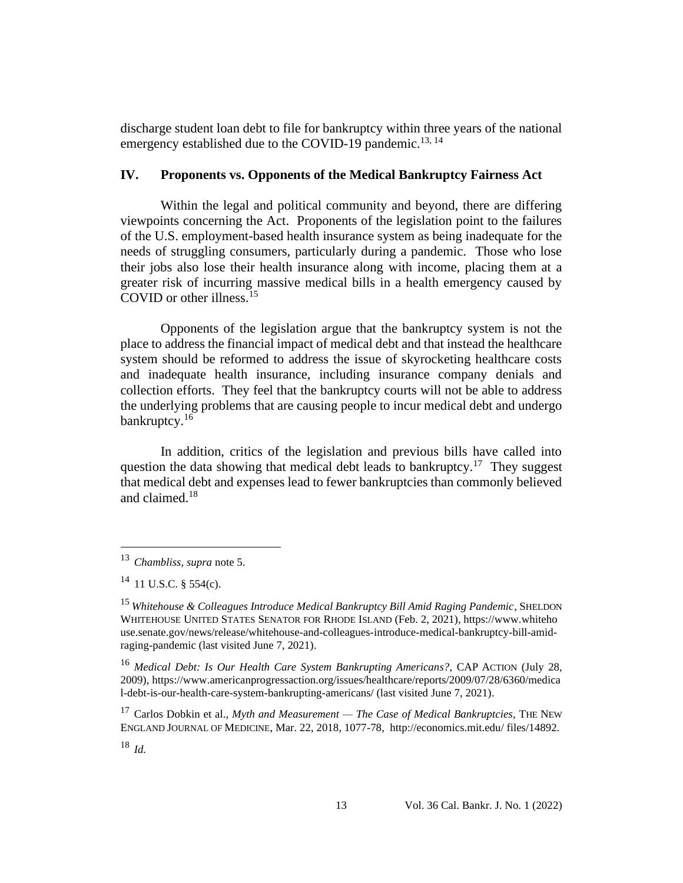discharge student loan debt to file for bankruptcy within three years of the national emergency established due to the COVID-19 pandemic.<sup>13, 14</sup>

#### **IV. Proponents vs. Opponents of the Medical Bankruptcy Fairness Act**

Within the legal and political community and beyond, there are differing viewpoints concerning the Act. Proponents of the legislation point to the failures of the U.S. employment-based health insurance system as being inadequate for the needs of struggling consumers, particularly during a pandemic. Those who lose their jobs also lose their health insurance along with income, placing them at a greater risk of incurring massive medical bills in a health emergency caused by COVID or other illness.<sup>15</sup>

Opponents of the legislation argue that the bankruptcy system is not the place to address the financial impact of medical debt and that instead the healthcare system should be reformed to address the issue of skyrocketing healthcare costs and inadequate health insurance, including insurance company denials and collection efforts. They feel that the bankruptcy courts will not be able to address the underlying problems that are causing people to incur medical debt and undergo bankruptcy.<sup>16</sup>

In addition, critics of the legislation and previous bills have called into question the data showing that medical debt leads to bankruptcy.<sup>17</sup> They suggest that medical debt and expenses lead to fewer bankruptcies than commonly believed and claimed.<sup>18</sup>

<sup>13</sup>*Chambliss, supra* note 5.

 $14$  11 U.S.C. § 554(c).

<sup>15</sup> *Whitehouse & Colleagues Introduce Medical Bankruptcy Bill Amid Raging Pandemic*, SHELDON WHITEHOUSE UNITED STATES SENATOR FOR RHODE ISLAND (Feb. 2, 2021), https://www.whiteho use.senate.gov/news/release/whitehouse-and-colleagues-introduce-medical-bankruptcy-bill-amidraging-pandemic (last visited June 7, 2021).

<sup>16</sup>*Medical Debt: Is Our Health Care System Bankrupting Americans?*, CAP ACTION (July 28, 2009), https://www.americanprogressaction.org/issues/healthcare/reports/2009/07/28/6360/medica l-debt-is-our-health-care-system-bankrupting-americans/ (last visited June 7, 2021).

<sup>&</sup>lt;sup>17</sup> Carlos Dobkin et al., *Myth and Measurement — The Case of Medical Bankruptcies*, THE NEW ENGLAND JOURNAL OF MEDICINE, Mar. 22, 2018, 1077-78, http://economics.mit.edu/ files/14892.

<sup>18</sup>*Id.*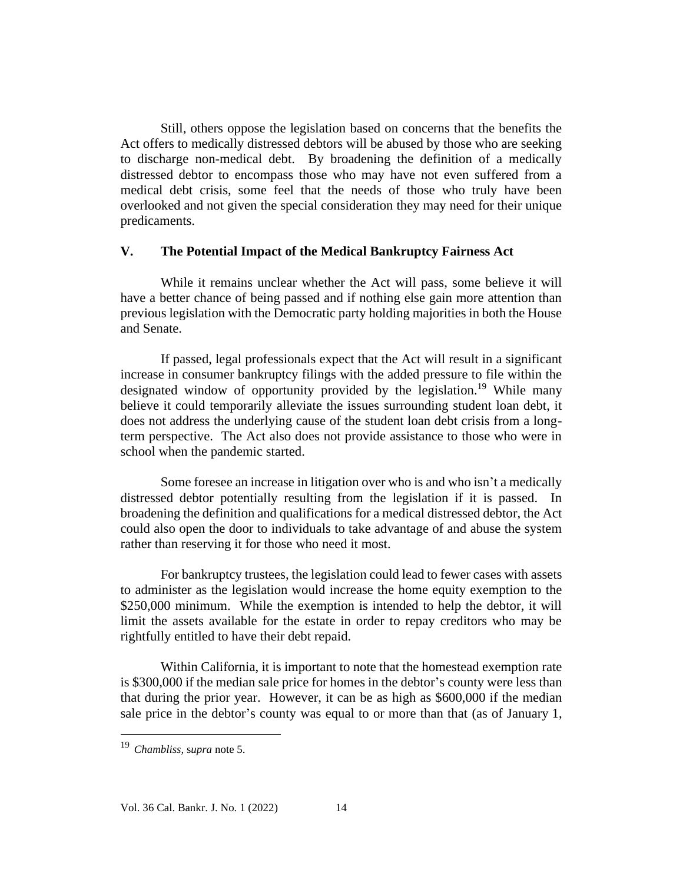Still, others oppose the legislation based on concerns that the benefits the Act offers to medically distressed debtors will be abused by those who are seeking to discharge non-medical debt. By broadening the definition of a medically distressed debtor to encompass those who may have not even suffered from a medical debt crisis, some feel that the needs of those who truly have been overlooked and not given the special consideration they may need for their unique predicaments.

### **V. The Potential Impact of the Medical Bankruptcy Fairness Act**

While it remains unclear whether the Act will pass, some believe it will have a better chance of being passed and if nothing else gain more attention than previous legislation with the Democratic party holding majorities in both the House and Senate.

If passed, legal professionals expect that the Act will result in a significant increase in consumer bankruptcy filings with the added pressure to file within the designated window of opportunity provided by the legislation.<sup>19</sup> While many believe it could temporarily alleviate the issues surrounding student loan debt, it does not address the underlying cause of the student loan debt crisis from a longterm perspective. The Act also does not provide assistance to those who were in school when the pandemic started.

Some foresee an increase in litigation over who is and who isn't a medically distressed debtor potentially resulting from the legislation if it is passed. In broadening the definition and qualifications for a medical distressed debtor, the Act could also open the door to individuals to take advantage of and abuse the system rather than reserving it for those who need it most.

For bankruptcy trustees, the legislation could lead to fewer cases with assets to administer as the legislation would increase the home equity exemption to the \$250,000 minimum. While the exemption is intended to help the debtor, it will limit the assets available for the estate in order to repay creditors who may be rightfully entitled to have their debt repaid.

Within California, it is important to note that the homestead exemption rate is \$300,000 if the median sale price for homes in the debtor's county were less than that during the prior year. However, it can be as high as \$600,000 if the median sale price in the debtor's county was equal to or more than that (as of January 1,

<sup>19</sup>*Chambliss,* s*upra* note 5.